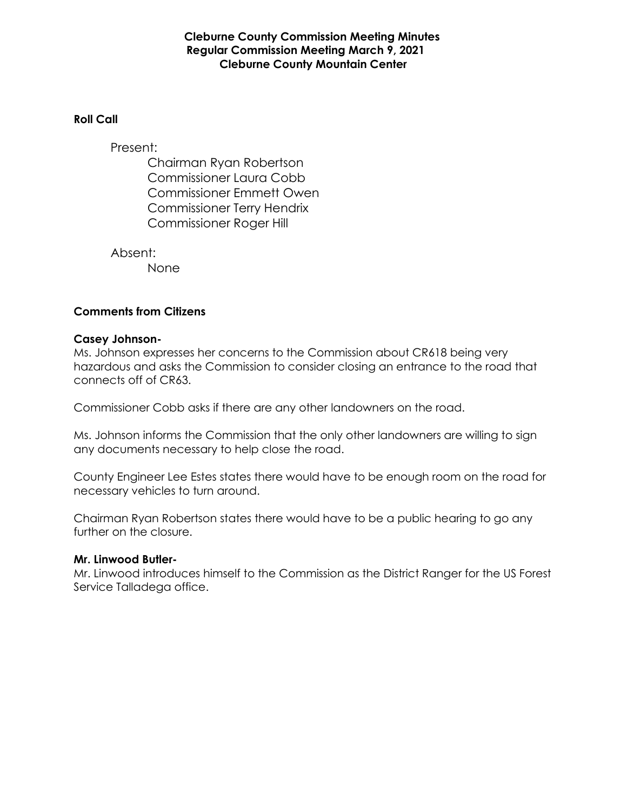#### **Cleburne County Commission Meeting Minutes Regular Commission Meeting March 9, 2021 Cleburne County Mountain Center**

#### **Roll Call**

Present:

Chairman Ryan Robertson Commissioner Laura Cobb Commissioner Emmett Owen Commissioner Terry Hendrix Commissioner Roger Hill

Absent:

None

#### **Comments from Citizens**

#### **Casey Johnson-**

Ms. Johnson expresses her concerns to the Commission about CR618 being very hazardous and asks the Commission to consider closing an entrance to the road that connects off of CR63.

Commissioner Cobb asks if there are any other landowners on the road.

Ms. Johnson informs the Commission that the only other landowners are willing to sign any documents necessary to help close the road.

County Engineer Lee Estes states there would have to be enough room on the road for necessary vehicles to turn around.

Chairman Ryan Robertson states there would have to be a public hearing to go any further on the closure.

#### **Mr. Linwood Butler-**

Mr. Linwood introduces himself to the Commission as the District Ranger for the US Forest Service Talladega office.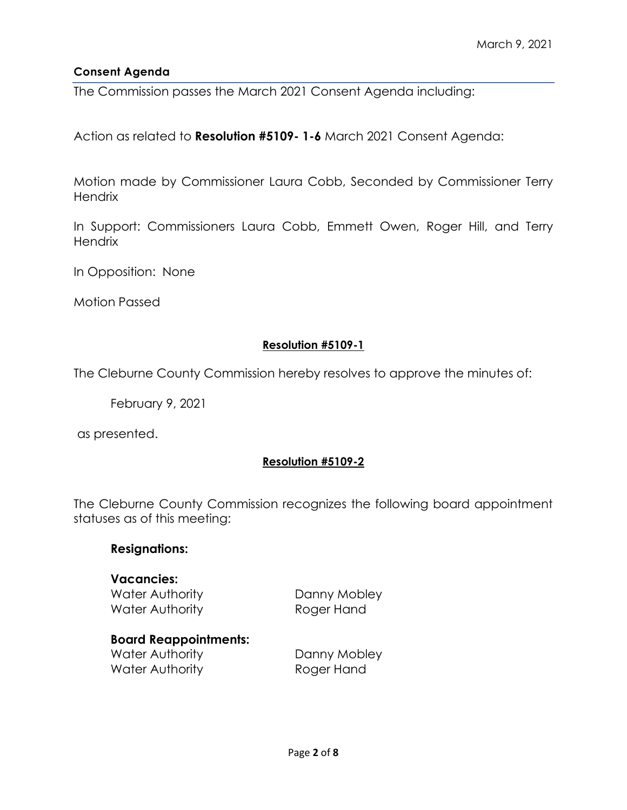## **Consent Agenda**

The Commission passes the March 2021 Consent Agenda including:

Action as related to **Resolution #5109- 1-6** March 2021 Consent Agenda:

Motion made by Commissioner Laura Cobb, Seconded by Commissioner Terry **Hendrix** 

In Support: Commissioners Laura Cobb, Emmett Owen, Roger Hill, and Terry **Hendrix** 

In Opposition: None

Motion Passed

### **Resolution #5109-1**

The Cleburne County Commission hereby resolves to approve the minutes of:

February 9, 2021

as presented.

### **Resolution #5109-2**

The Cleburne County Commission recognizes the following board appointment statuses as of this meeting:

#### **Resignations:**

**Vacancies:**  Water Authority **Danny Mobley** Water Authority **Roger Hand** 

### **Board Reappointments:**

Water Authority **Danny Mobley** Water Authority **Roger Hand**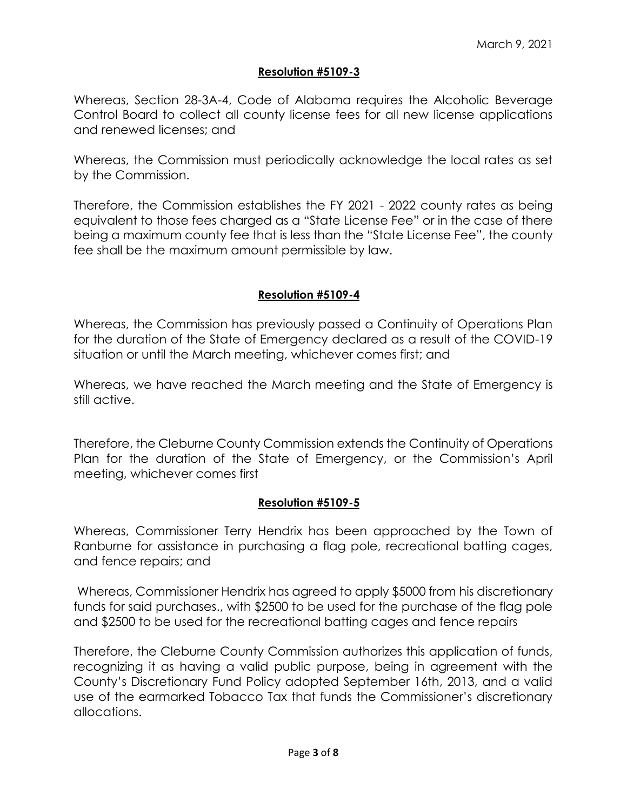## **Resolution #5109-3**

Whereas, Section 28-3A-4, Code of Alabama requires the Alcoholic Beverage Control Board to collect all county license fees for all new license applications and renewed licenses; and

Whereas, the Commission must periodically acknowledge the local rates as set by the Commission.

Therefore, the Commission establishes the FY 2021 - 2022 county rates as being equivalent to those fees charged as a "State License Fee" or in the case of there being a maximum county fee that is less than the "State License Fee", the county fee shall be the maximum amount permissible by law.

## **Resolution #5109-4**

Whereas, the Commission has previously passed a Continuity of Operations Plan for the duration of the State of Emergency declared as a result of the COVID-19 situation or until the March meeting, whichever comes first; and

Whereas, we have reached the March meeting and the State of Emergency is still active.

Therefore, the Cleburne County Commission extends the Continuity of Operations Plan for the duration of the State of Emergency, or the Commission's April meeting, whichever comes first

### **Resolution #5109-5**

Whereas, Commissioner Terry Hendrix has been approached by the Town of Ranburne for assistance in purchasing a flag pole, recreational batting cages, and fence repairs; and

Whereas, Commissioner Hendrix has agreed to apply \$5000 from his discretionary funds for said purchases., with \$2500 to be used for the purchase of the flag pole and \$2500 to be used for the recreational batting cages and fence repairs

Therefore, the Cleburne County Commission authorizes this application of funds, recognizing it as having a valid public purpose, being in agreement with the County's Discretionary Fund Policy adopted September 16th, 2013, and a valid use of the earmarked Tobacco Tax that funds the Commissioner's discretionary allocations.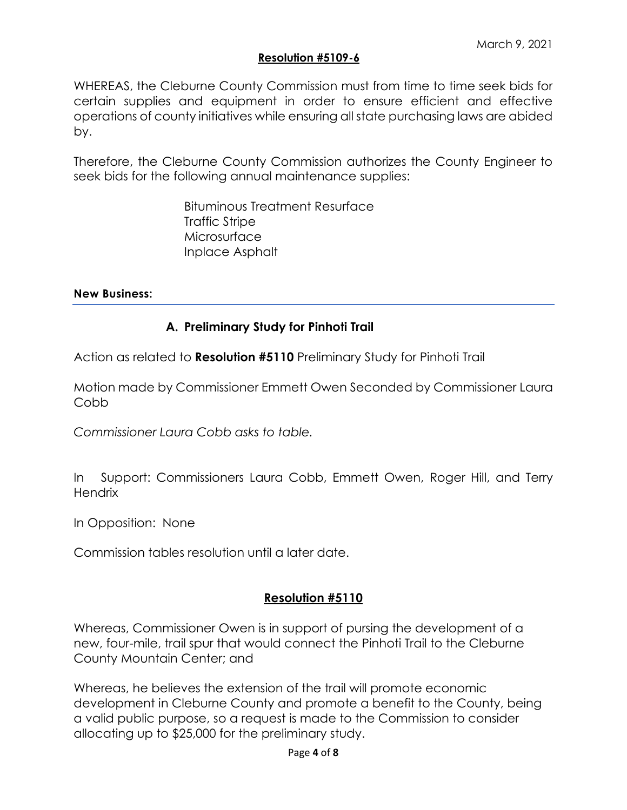### **Resolution #5109-6**

WHEREAS, the Cleburne County Commission must from time to time seek bids for certain supplies and equipment in order to ensure efficient and effective operations of county initiatives while ensuring all state purchasing laws are abided by.

Therefore, the Cleburne County Commission authorizes the County Engineer to seek bids for the following annual maintenance supplies:

> Bituminous Treatment Resurface Traffic Stripe **Microsurface** Inplace Asphalt

#### **New Business:**

## **A. Preliminary Study for Pinhoti Trail**

Action as related to **Resolution #5110** Preliminary Study for Pinhoti Trail

Motion made by Commissioner Emmett Owen Seconded by Commissioner Laura Cobb

*Commissioner Laura Cobb asks to table.*

In Support: Commissioners Laura Cobb, Emmett Owen, Roger Hill, and Terry **Hendrix** 

In Opposition: None

Commission tables resolution until a later date.

## **Resolution #5110**

Whereas, Commissioner Owen is in support of pursing the development of a new, four-mile, trail spur that would connect the Pinhoti Trail to the Cleburne County Mountain Center; and

Whereas, he believes the extension of the trail will promote economic development in Cleburne County and promote a benefit to the County, being a valid public purpose, so a request is made to the Commission to consider allocating up to \$25,000 for the preliminary study.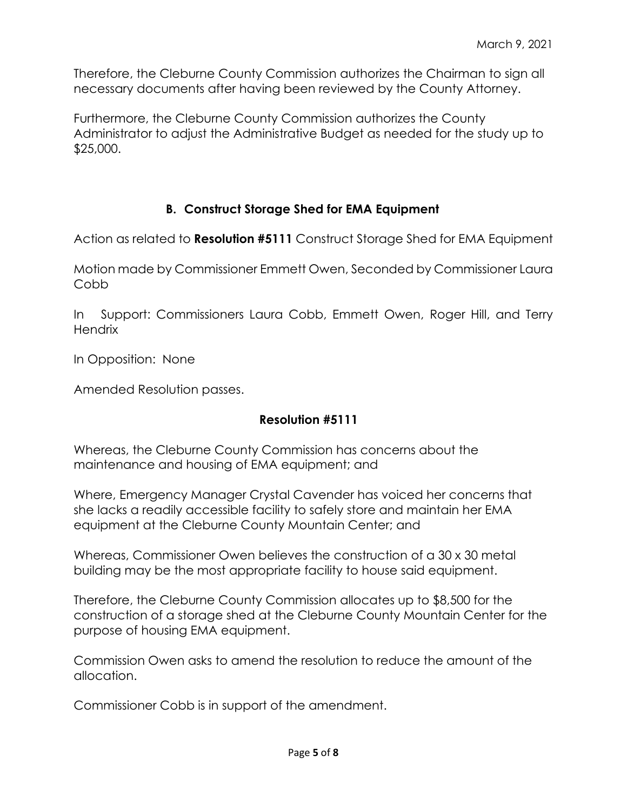Therefore, the Cleburne County Commission authorizes the Chairman to sign all necessary documents after having been reviewed by the County Attorney.

Furthermore, the Cleburne County Commission authorizes the County Administrator to adjust the Administrative Budget as needed for the study up to \$25,000.

# **B. Construct Storage Shed for EMA Equipment**

Action as related to **Resolution #5111** Construct Storage Shed for EMA Equipment

Motion made by Commissioner Emmett Owen, Seconded by Commissioner Laura Cobb

In Support: Commissioners Laura Cobb, Emmett Owen, Roger Hill, and Terry **Hendrix** 

In Opposition: None

Amended Resolution passes.

## **Resolution #5111**

Whereas, the Cleburne County Commission has concerns about the maintenance and housing of EMA equipment; and

Where, Emergency Manager Crystal Cavender has voiced her concerns that she lacks a readily accessible facility to safely store and maintain her EMA equipment at the Cleburne County Mountain Center; and

Whereas, Commissioner Owen believes the construction of a 30 x 30 metal building may be the most appropriate facility to house said equipment.

Therefore, the Cleburne County Commission allocates up to \$8,500 for the construction of a storage shed at the Cleburne County Mountain Center for the purpose of housing EMA equipment.

Commission Owen asks to amend the resolution to reduce the amount of the allocation.

Commissioner Cobb is in support of the amendment.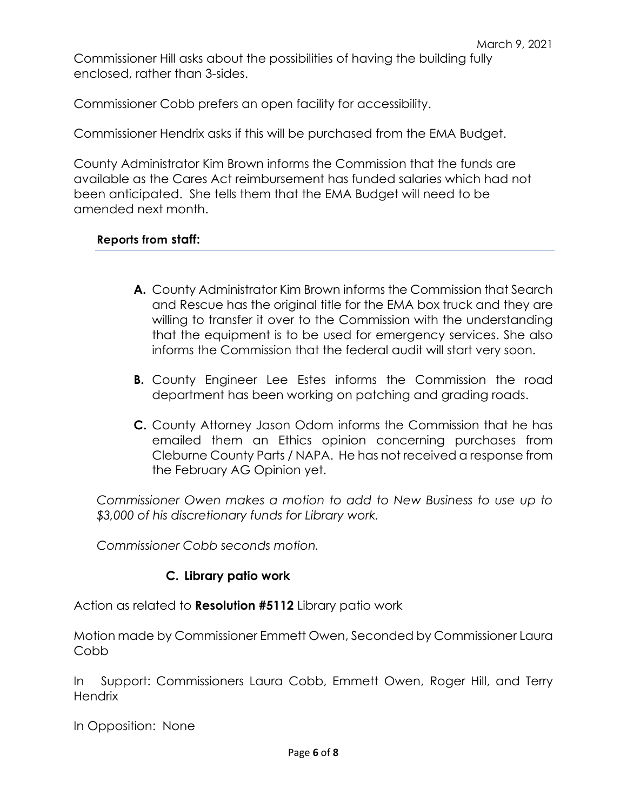Commissioner Hill asks about the possibilities of having the building fully enclosed, rather than 3-sides.

Commissioner Cobb prefers an open facility for accessibility.

Commissioner Hendrix asks if this will be purchased from the EMA Budget.

County Administrator Kim Brown informs the Commission that the funds are available as the Cares Act reimbursement has funded salaries which had not been anticipated. She tells them that the EMA Budget will need to be amended next month.

### **Reports from staff:**

- **A.** County Administrator Kim Brown informs the Commission that Search and Rescue has the original title for the EMA box truck and they are willing to transfer it over to the Commission with the understanding that the equipment is to be used for emergency services. She also informs the Commission that the federal audit will start very soon.
- **B.** County Engineer Lee Estes informs the Commission the road department has been working on patching and grading roads.
- **C.** County Attorney Jason Odom informs the Commission that he has emailed them an Ethics opinion concerning purchases from Cleburne County Parts / NAPA. He has not received a response from the February AG Opinion yet.

*Commissioner Owen makes a motion to add to New Business to use up to \$3,000 of his discretionary funds for Library work.*

*Commissioner Cobb seconds motion.*

### **C. Library patio work**

Action as related to **Resolution #5112** Library patio work

Motion made by Commissioner Emmett Owen, Seconded by Commissioner Laura Cobb

In Support: Commissioners Laura Cobb, Emmett Owen, Roger Hill, and Terry **Hendrix** 

In Opposition: None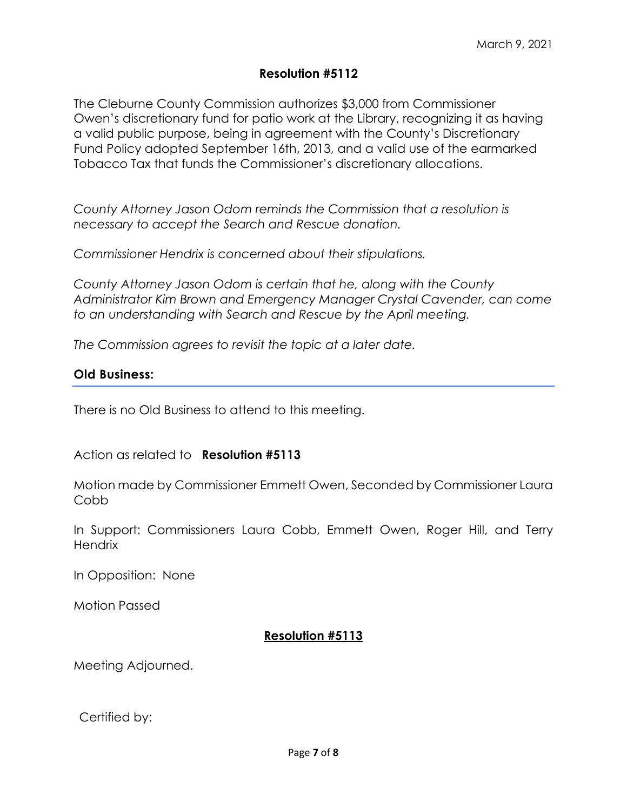# **Resolution #5112**

The Cleburne County Commission authorizes \$3,000 from Commissioner Owen's discretionary fund for patio work at the Library, recognizing it as having a valid public purpose, being in agreement with the County's Discretionary Fund Policy adopted September 16th, 2013, and a valid use of the earmarked Tobacco Tax that funds the Commissioner's discretionary allocations.

*County Attorney Jason Odom reminds the Commission that a resolution is necessary to accept the Search and Rescue donation.*

*Commissioner Hendrix is concerned about their stipulations.*

*County Attorney Jason Odom is certain that he, along with the County Administrator Kim Brown and Emergency Manager Crystal Cavender, can come to an understanding with Search and Rescue by the April meeting.*

*The Commission agrees to revisit the topic at a later date.* 

### **Old Business:**

There is no Old Business to attend to this meeting.

Action as related to **Resolution #5113**

Motion made by Commissioner Emmett Owen, Seconded by Commissioner Laura Cobb

In Support: Commissioners Laura Cobb, Emmett Owen, Roger Hill, and Terry **Hendrix** 

In Opposition: None

Motion Passed

## **Resolution #5113**

Meeting Adjourned.

Certified by: